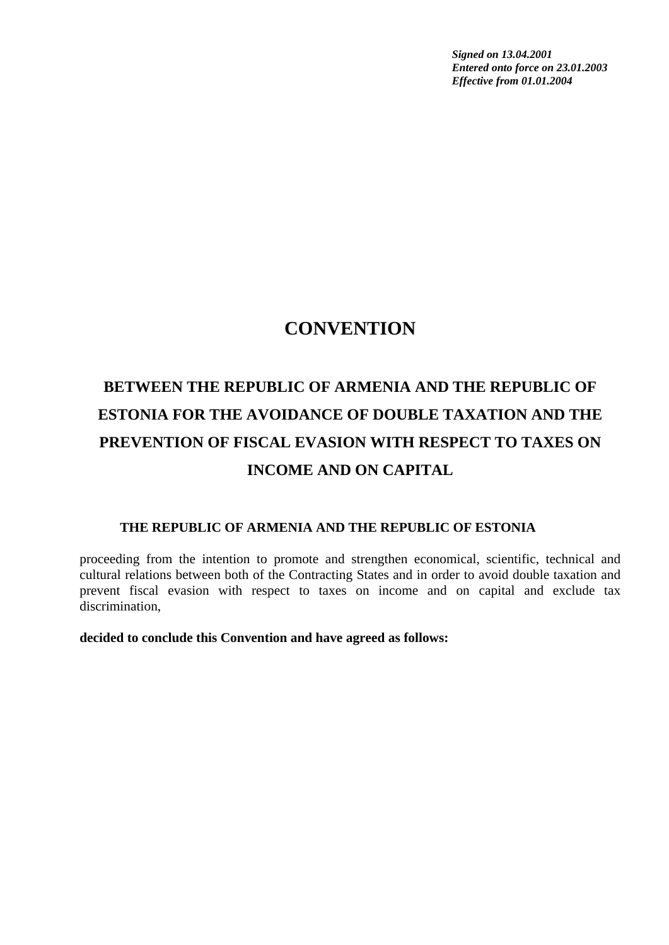*Signed on 13.04.2001 Entered onto force on 23.01.2003 Effective from 01.01.2004* 

# **CONVENTION**

# **BETWEEN THE REPUBLIC OF ARMENIA AND THE REPUBLIC OF ESTONIA FOR THE AVOIDANCE OF DOUBLE TAXATION AND THE PREVENTION OF FISCAL EVASION WITH RESPECT TO TAXES ON INCOME AND ON CAPITAL**

#### **THE REPUBLIC OF ARMENIA AND THE REPUBLIC OF ESTONIA**

proceeding from the intention to promote and strengthen economical, scientific, technical and cultural relations between both of the Contracting States and in order to avoid double taxation and prevent fiscal evasion with respect to taxes on income and on capital and exclude tax discrimination,

#### **decided to conclude this Convention and have agreed as follows:**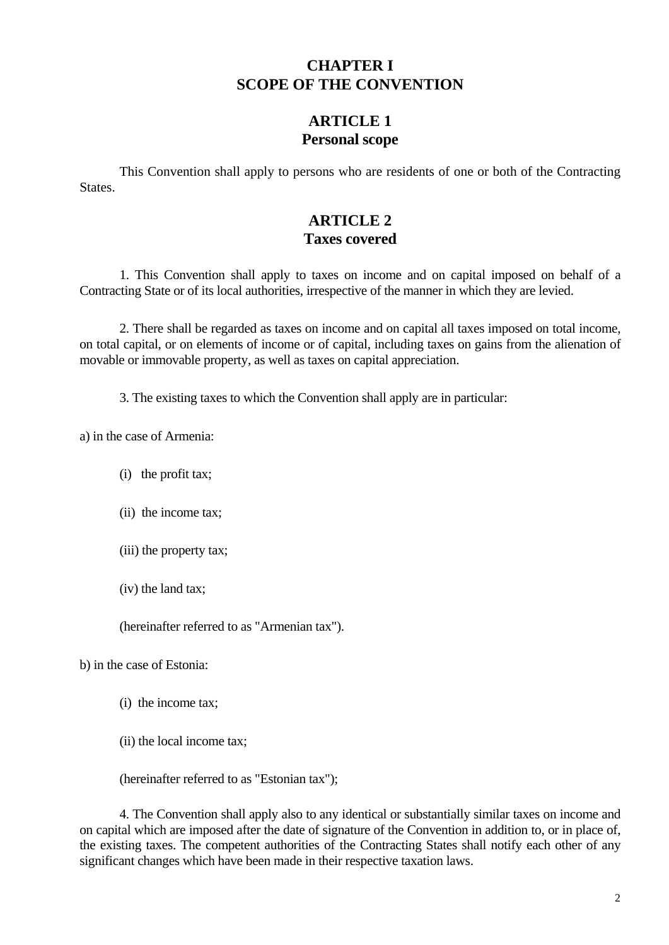#### **CHAPTER I SCOPE OF THE CONVENTION**

#### **ARTICLE 1 Personal scope**

This Convention shall apply to persons who are residents of one or both of the Contracting States.

# **ARTICLE 2 Taxes covered**

1. This Convention shall apply to taxes on income and on capital imposed on behalf of a Contracting State or of its local authorities, irrespective of the manner in which they are levied.

2. There shall be regarded as taxes on income and on capital all taxes imposed on total income, on total capital, or on elements of income or of capital, including taxes on gains from the alienation of movable or immovable property, as well as taxes on capital appreciation.

3. The existing taxes to which the Convention shall apply are in particular:

a) in the case of Armenia:

(i) the profit tax;

(ii) the income tax;

(iii) the property tax;

(iv) the land tax;

(hereinafter referred to as "Armenian tax").

b) in the case of Estonia:

- (i) the income tax;
- (ii) the local income tax;

(hereinafter referred to as "Estonian tax");

4. The Convention shall apply also to any identical or substantially similar taxes on income and on capital which are imposed after the date of signature of the Convention in addition to, or in place of, the existing taxes. The competent authorities of the Contracting States shall notify each other of any significant changes which have been made in their respective taxation laws.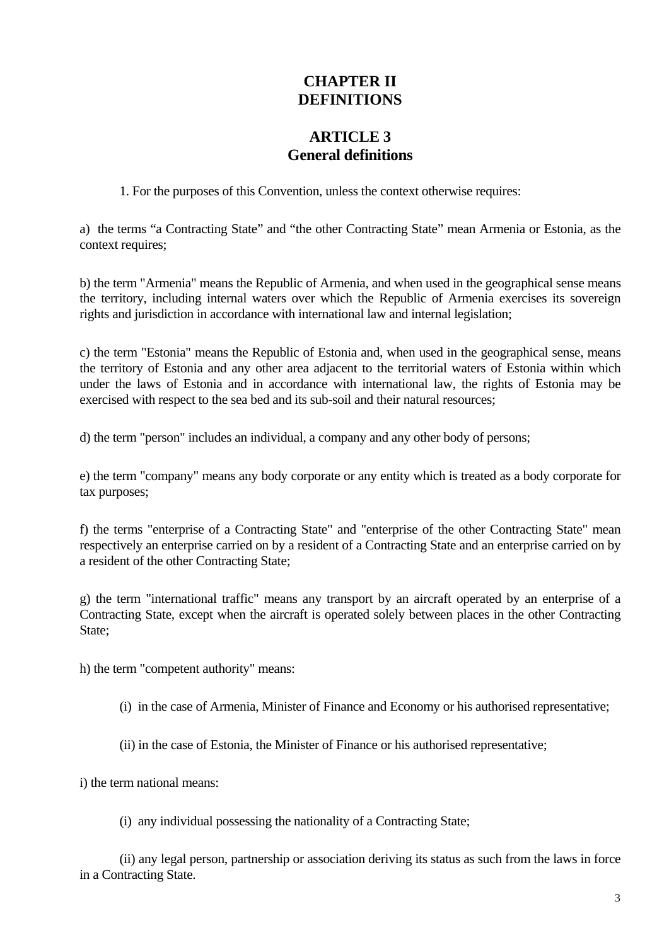# **CHAPTER II DEFINITIONS**

# **ARTICLE 3 General definitions**

1. For the purposes of this Convention, unless the context otherwise requires:

a) the terms "a Contracting State" and "the other Contracting State" mean Armenia or Estonia, as the context requires;

b) the term "Armenia" means the Republic of Armenia, and when used in the geographical sense means the territory, including internal waters over which the Republic of Armenia exercises its sovereign rights and jurisdiction in accordance with international law and internal legislation;

c) the term "Estonia" means the Republic of Estonia and, when used in the geographical sense, means the territory of Estonia and any other area adjacent to the territorial waters of Estonia within which under the laws of Estonia and in accordance with international law, the rights of Estonia may be exercised with respect to the sea bed and its sub-soil and their natural resources;

d) the term "person" includes an individual, a company and any other body of persons;

e) the term "company" means any body corporate or any entity which is treated as a body corporate for tax purposes;

f) the terms "enterprise of a Contracting State" and "enterprise of the other Contracting State" mean respectively an enterprise carried on by a resident of a Contracting State and an enterprise carried on by a resident of the other Contracting State;

g) the term "international traffic" means any transport by an aircraft operated by an enterprise of a Contracting State, except when the aircraft is operated solely between places in the other Contracting State:

h) the term "competent authority" means:

- (i) in the case of Armenia, Minister of Finance and Economy or his authorised representative;
- (ii) in the case of Estonia, the Minister of Finance or his authorised representative;

i) the term national means:

(i) any individual possessing the nationality of a Contracting State;

(ii) any legal person, partnership or association deriving its status as such from the laws in force in a Contracting State.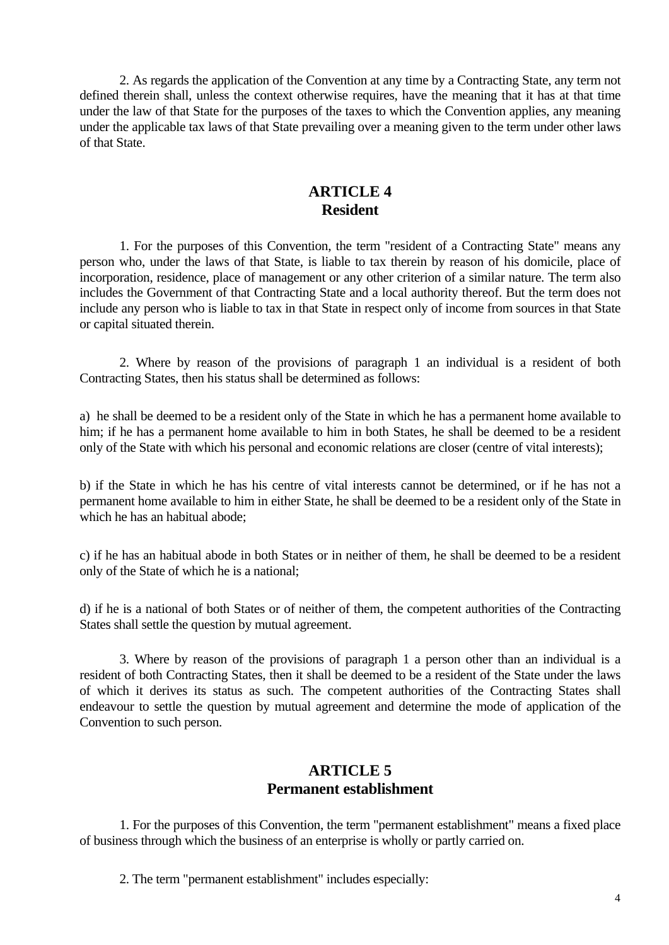2. As regards the application of the Convention at any time by a Contracting State, any term not defined therein shall, unless the context otherwise requires, have the meaning that it has at that time under the law of that State for the purposes of the taxes to which the Convention applies, any meaning under the applicable tax laws of that State prevailing over a meaning given to the term under other laws of that State.

### **ARTICLE 4 Resident**

1. For the purposes of this Convention, the term "resident of a Contracting State" means any person who, under the laws of that State, is liable to tax therein by reason of his domicile, place of incorporation, residence, place of management or any other criterion of a similar nature. The term also includes the Government of that Contracting State and a local authority thereof. But the term does not include any person who is liable to tax in that State in respect only of income from sources in that State or capital situated therein.

2. Where by reason of the provisions of paragraph 1 an individual is a resident of both Contracting States, then his status shall be determined as follows:

a) he shall be deemed to be a resident only of the State in which he has a permanent home available to him; if he has a permanent home available to him in both States, he shall be deemed to be a resident only of the State with which his personal and economic relations are closer (centre of vital interests);

b) if the State in which he has his centre of vital interests cannot be determined, or if he has not a permanent home available to him in either State, he shall be deemed to be a resident only of the State in which he has an habitual abode;

c) if he has an habitual abode in both States or in neither of them, he shall be deemed to be a resident only of the State of which he is a national;

d) if he is a national of both States or of neither of them, the competent authorities of the Contracting States shall settle the question by mutual agreement.

3. Where by reason of the provisions of paragraph 1 a person other than an individual is a resident of both Contracting States, then it shall be deemed to be a resident of the State under the laws of which it derives its status as such. The competent authorities of the Contracting States shall endeavour to settle the question by mutual agreement and determine the mode of application of the Convention to such person.

### **ARTICLE 5 Permanent establishment**

1. For the purposes of this Convention, the term "permanent establishment" means a fixed place of business through which the business of an enterprise is wholly or partly carried on.

2. The term "permanent establishment" includes especially: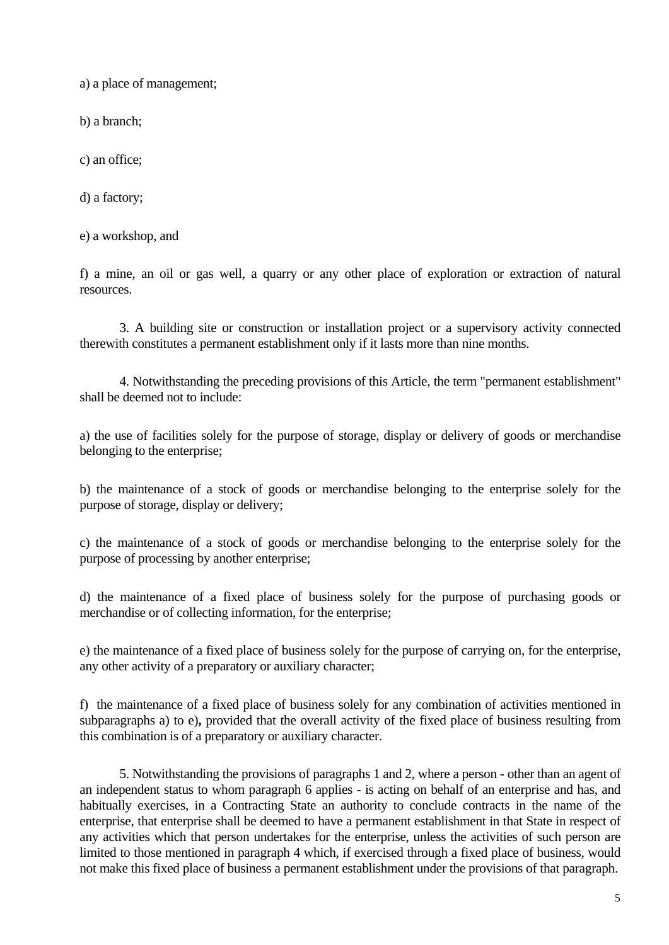a) a place of management;

b) a branch;

c) an office;

d) a factory;

e) a workshop, and

f) a mine, an oil or gas well, a quarry or any other place of exploration or extraction of natural resources.

3. A building site or construction or installation project or a supervisory activity connected therewith constitutes a permanent establishment only if it lasts more than nine months.

4. Notwithstanding the preceding provisions of this Article, the term "permanent establishment" shall be deemed not to include:

a) the use of facilities solely for the purpose of storage, display or delivery of goods or merchandise belonging to the enterprise;

b) the maintenance of a stock of goods or merchandise belonging to the enterprise solely for the purpose of storage, display or delivery;

c) the maintenance of a stock of goods or merchandise belonging to the enterprise solely for the purpose of processing by another enterprise;

d) the maintenance of a fixed place of business solely for the purpose of purchasing goods or merchandise or of collecting information, for the enterprise;

e) the maintenance of a fixed place of business solely for the purpose of carrying on, for the enterprise, any other activity of a preparatory or auxiliary character;

f) the maintenance of a fixed place of business solely for any combination of activities mentioned in subparagraphs a) to e)**,** provided that the overall activity of the fixed place of business resulting from this combination is of a preparatory or auxiliary character.

5. Notwithstanding the provisions of paragraphs 1 and 2, where a person - other than an agent of an independent status to whom paragraph 6 applies - is acting on behalf of an enterprise and has, and habitually exercises, in a Contracting State an authority to conclude contracts in the name of the enterprise, that enterprise shall be deemed to have a permanent establishment in that State in respect of any activities which that person undertakes for the enterprise, unless the activities of such person are limited to those mentioned in paragraph 4 which, if exercised through a fixed place of business, would not make this fixed place of business a permanent establishment under the provisions of that paragraph.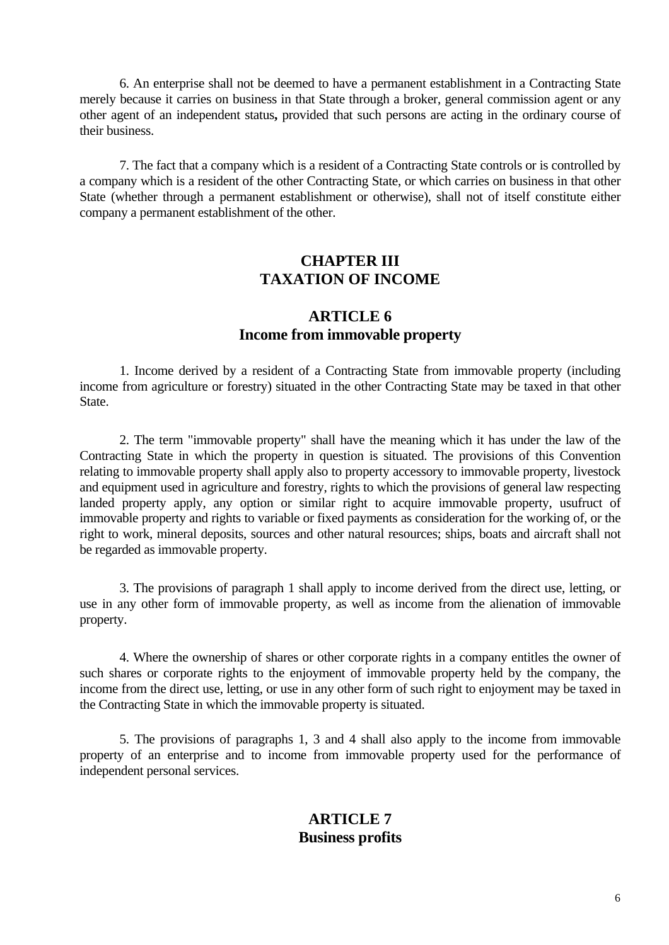6. An enterprise shall not be deemed to have a permanent establishment in a Contracting State merely because it carries on business in that State through a broker, general commission agent or any other agent of an independent status**,** provided that such persons are acting in the ordinary course of their business.

7. The fact that a company which is a resident of a Contracting State controls or is controlled by a company which is a resident of the other Contracting State, or which carries on business in that other State (whether through a permanent establishment or otherwise), shall not of itself constitute either company a permanent establishment of the other.

#### **CHAPTER III TAXATION OF INCOME**

#### **ARTICLE 6 Income from immovable property**

1. Income derived by a resident of a Contracting State from immovable property (including income from agriculture or forestry) situated in the other Contracting State may be taxed in that other State.

2. The term "immovable property" shall have the meaning which it has under the law of the Contracting State in which the property in question is situated. The provisions of this Convention relating to immovable property shall apply also to property accessory to immovable property, livestock and equipment used in agriculture and forestry, rights to which the provisions of general law respecting landed property apply, any option or similar right to acquire immovable property, usufruct of immovable property and rights to variable or fixed payments as consideration for the working of, or the right to work, mineral deposits, sources and other natural resources; ships, boats and aircraft shall not be regarded as immovable property.

3. The provisions of paragraph 1 shall apply to income derived from the direct use, letting, or use in any other form of immovable property, as well as income from the alienation of immovable property.

4. Where the ownership of shares or other corporate rights in a company entitles the owner of such shares or corporate rights to the enjoyment of immovable property held by the company, the income from the direct use, letting, or use in any other form of such right to enjoyment may be taxed in the Contracting State in which the immovable property is situated.

5. The provisions of paragraphs 1, 3 and 4 shall also apply to the income from immovable property of an enterprise and to income from immovable property used for the performance of independent personal services.

#### **ARTICLE 7 Business profits**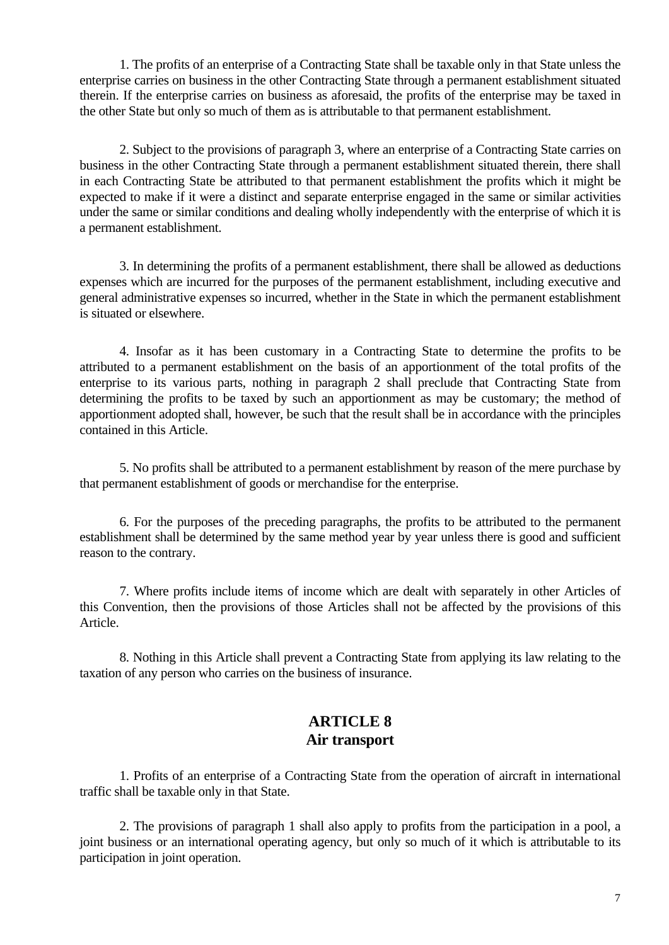1. The profits of an enterprise of a Contracting State shall be taxable only in that State unless the enterprise carries on business in the other Contracting State through a permanent establishment situated therein. If the enterprise carries on business as aforesaid, the profits of the enterprise may be taxed in the other State but only so much of them as is attributable to that permanent establishment.

2. Subject to the provisions of paragraph 3, where an enterprise of a Contracting State carries on business in the other Contracting State through a permanent establishment situated therein, there shall in each Contracting State be attributed to that permanent establishment the profits which it might be expected to make if it were a distinct and separate enterprise engaged in the same or similar activities under the same or similar conditions and dealing wholly independently with the enterprise of which it is a permanent establishment.

3. In determining the profits of a permanent establishment, there shall be allowed as deductions expenses which are incurred for the purposes of the permanent establishment, including executive and general administrative expenses so incurred, whether in the State in which the permanent establishment is situated or elsewhere.

4. Insofar as it has been customary in a Contracting State to determine the profits to be attributed to a permanent establishment on the basis of an apportionment of the total profits of the enterprise to its various parts, nothing in paragraph 2 shall preclude that Contracting State from determining the profits to be taxed by such an apportionment as may be customary; the method of apportionment adopted shall, however, be such that the result shall be in accordance with the principles contained in this Article.

5. No profits shall be attributed to a permanent establishment by reason of the mere purchase by that permanent establishment of goods or merchandise for the enterprise.

6. For the purposes of the preceding paragraphs, the profits to be attributed to the permanent establishment shall be determined by the same method year by year unless there is good and sufficient reason to the contrary.

7. Where profits include items of income which are dealt with separately in other Articles of this Convention, then the provisions of those Articles shall not be affected by the provisions of this Article.

8. Nothing in this Article shall prevent a Contracting State from applying its law relating to the taxation of any person who carries on the business of insurance.

#### **ARTICLE 8 Air transport**

1. Profits of an enterprise of a Contracting State from the operation of aircraft in international traffic shall be taxable only in that State.

2. The provisions of paragraph 1 shall also apply to profits from the participation in a pool, a joint business or an international operating agency, but only so much of it which is attributable to its participation in joint operation.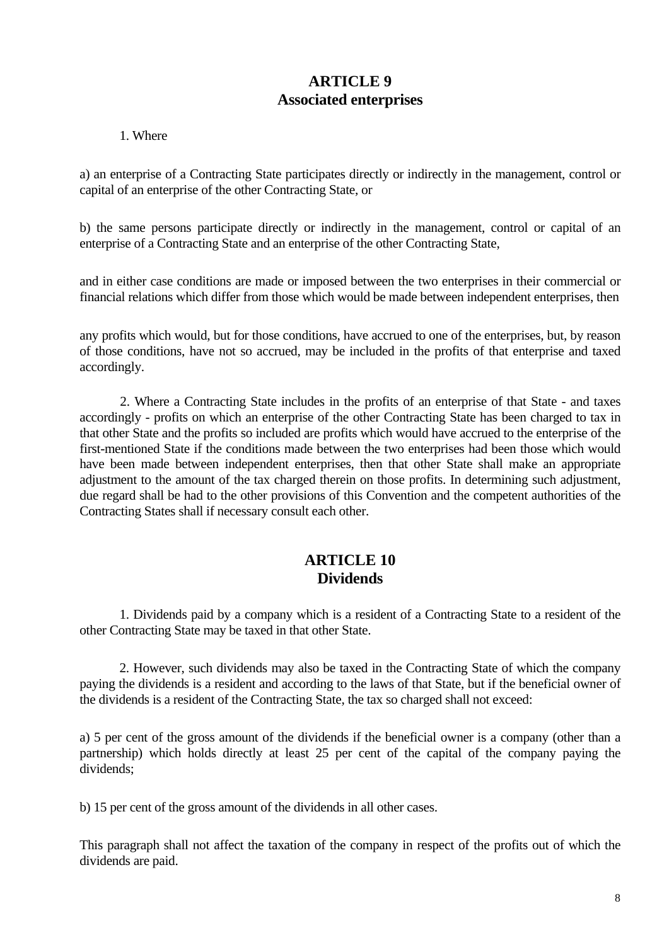## **ARTICLE 9 Associated enterprises**

1. Where

a) an enterprise of a Contracting State participates directly or indirectly in the management, control or capital of an enterprise of the other Contracting State, or

b) the same persons participate directly or indirectly in the management, control or capital of an enterprise of a Contracting State and an enterprise of the other Contracting State,

and in either case conditions are made or imposed between the two enterprises in their commercial or financial relations which differ from those which would be made between independent enterprises, then

any profits which would, but for those conditions, have accrued to one of the enterprises, but, by reason of those conditions, have not so accrued, may be included in the profits of that enterprise and taxed accordingly.

2. Where a Contracting State includes in the profits of an enterprise of that State - and taxes accordingly - profits on which an enterprise of the other Contracting State has been charged to tax in that other State and the profits so included are profits which would have accrued to the enterprise of the first-mentioned State if the conditions made between the two enterprises had been those which would have been made between independent enterprises, then that other State shall make an appropriate adjustment to the amount of the tax charged therein on those profits. In determining such adjustment, due regard shall be had to the other provisions of this Convention and the competent authorities of the Contracting States shall if necessary consult each other.

### **ARTICLE 10 Dividends**

1. Dividends paid by a company which is a resident of a Contracting State to a resident of the other Contracting State may be taxed in that other State.

2. However, such dividends may also be taxed in the Contracting State of which the company paying the dividends is a resident and according to the laws of that State, but if the beneficial owner of the dividends is a resident of the Contracting State, the tax so charged shall not exceed:

a) 5 per cent of the gross amount of the dividends if the beneficial owner is a company (other than a partnership) which holds directly at least 25 per cent of the capital of the company paying the dividends;

b) 15 per cent of the gross amount of the dividends in all other cases.

This paragraph shall not affect the taxation of the company in respect of the profits out of which the dividends are paid.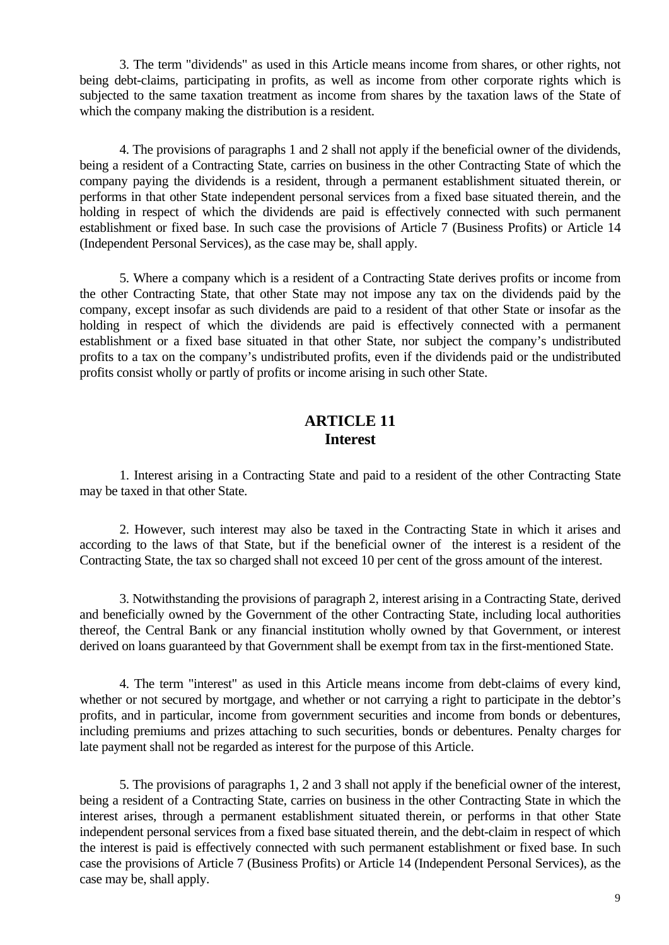3. The term "dividends" as used in this Article means income from shares, or other rights, not being debt-claims, participating in profits, as well as income from other corporate rights which is subjected to the same taxation treatment as income from shares by the taxation laws of the State of which the company making the distribution is a resident.

4. The provisions of paragraphs 1 and 2 shall not apply if the beneficial owner of the dividends, being a resident of a Contracting State, carries on business in the other Contracting State of which the company paying the dividends is a resident, through a permanent establishment situated therein, or performs in that other State independent personal services from a fixed base situated therein, and the holding in respect of which the dividends are paid is effectively connected with such permanent establishment or fixed base. In such case the provisions of Article 7 (Business Profits) or Article 14 (Independent Personal Services), as the case may be, shall apply.

5. Where a company which is a resident of a Contracting State derives profits or income from the other Contracting State, that other State may not impose any tax on the dividends paid by the company, except insofar as such dividends are paid to a resident of that other State or insofar as the holding in respect of which the dividends are paid is effectively connected with a permanent establishment or a fixed base situated in that other State, nor subject the company's undistributed profits to a tax on the company's undistributed profits, even if the dividends paid or the undistributed profits consist wholly or partly of profits or income arising in such other State.

#### **ARTICLE 11 Interest**

1. Interest arising in a Contracting State and paid to a resident of the other Contracting State may be taxed in that other State.

2. However, such interest may also be taxed in the Contracting State in which it arises and according to the laws of that State, but if the beneficial owner of the interest is a resident of the Contracting State, the tax so charged shall not exceed 10 per cent of the gross amount of the interest.

3. Notwithstanding the provisions of paragraph 2, interest arising in a Contracting State, derived and beneficially owned by the Government of the other Contracting State, including local authorities thereof, the Central Bank or any financial institution wholly owned by that Government, or interest derived on loans guaranteed by that Government shall be exempt from tax in the first-mentioned State.

4. The term "interest" as used in this Article means income from debt-claims of every kind, whether or not secured by mortgage, and whether or not carrying a right to participate in the debtor's profits, and in particular, income from government securities and income from bonds or debentures, including premiums and prizes attaching to such securities, bonds or debentures. Penalty charges for late payment shall not be regarded as interest for the purpose of this Article.

5. The provisions of paragraphs 1, 2 and 3 shall not apply if the beneficial owner of the interest, being a resident of a Contracting State, carries on business in the other Contracting State in which the interest arises, through a permanent establishment situated therein, or performs in that other State independent personal services from a fixed base situated therein, and the debt-claim in respect of which the interest is paid is effectively connected with such permanent establishment or fixed base. In such case the provisions of Article 7 (Business Profits) or Article 14 (Independent Personal Services), as the case may be, shall apply.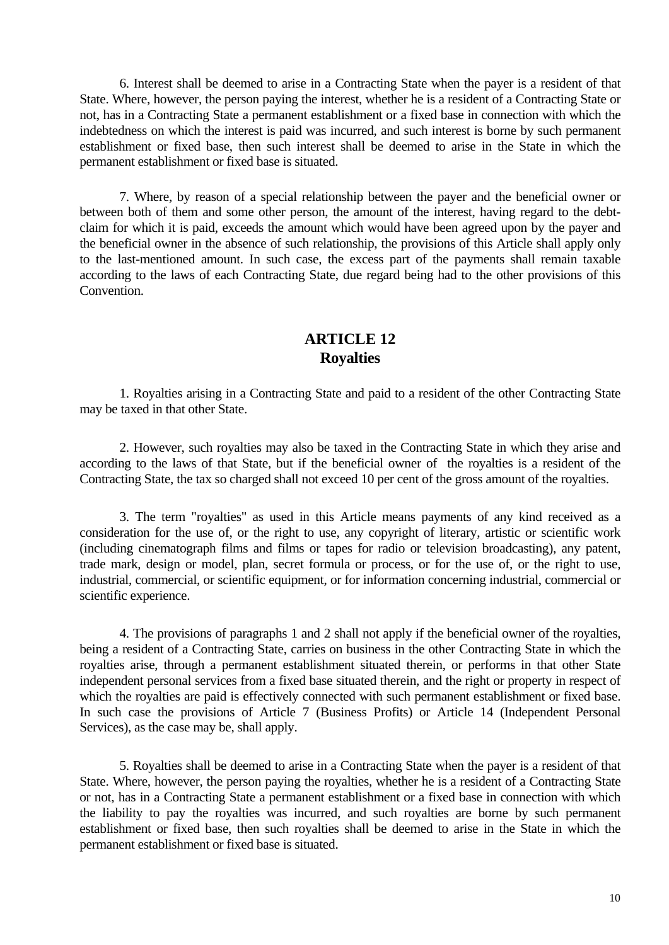6. Interest shall be deemed to arise in a Contracting State when the payer is a resident of that State. Where, however, the person paying the interest, whether he is a resident of a Contracting State or not, has in a Contracting State a permanent establishment or a fixed base in connection with which the indebtedness on which the interest is paid was incurred, and such interest is borne by such permanent establishment or fixed base, then such interest shall be deemed to arise in the State in which the permanent establishment or fixed base is situated.

7. Where, by reason of a special relationship between the payer and the beneficial owner or between both of them and some other person, the amount of the interest, having regard to the debtclaim for which it is paid, exceeds the amount which would have been agreed upon by the payer and the beneficial owner in the absence of such relationship, the provisions of this Article shall apply only to the last-mentioned amount. In such case, the excess part of the payments shall remain taxable according to the laws of each Contracting State, due regard being had to the other provisions of this Convention.

# **ARTICLE 12 Royalties**

1. Royalties arising in a Contracting State and paid to a resident of the other Contracting State may be taxed in that other State.

2. However, such royalties may also be taxed in the Contracting State in which they arise and according to the laws of that State, but if the beneficial owner of the royalties is a resident of the Contracting State, the tax so charged shall not exceed 10 per cent of the gross amount of the royalties.

3. The term "royalties" as used in this Article means payments of any kind received as a consideration for the use of, or the right to use, any copyright of literary, artistic or scientific work (including cinematograph films and films or tapes for radio or television broadcasting), any patent, trade mark, design or model, plan, secret formula or process, or for the use of, or the right to use, industrial, commercial, or scientific equipment, or for information concerning industrial, commercial or scientific experience.

4. The provisions of paragraphs 1 and 2 shall not apply if the beneficial owner of the royalties, being a resident of a Contracting State, carries on business in the other Contracting State in which the royalties arise, through a permanent establishment situated therein, or performs in that other State independent personal services from a fixed base situated therein, and the right or property in respect of which the royalties are paid is effectively connected with such permanent establishment or fixed base. In such case the provisions of Article 7 (Business Profits) or Article 14 (Independent Personal Services), as the case may be, shall apply.

5. Royalties shall be deemed to arise in a Contracting State when the payer is a resident of that State. Where, however, the person paying the royalties, whether he is a resident of a Contracting State or not, has in a Contracting State a permanent establishment or a fixed base in connection with which the liability to pay the royalties was incurred, and such royalties are borne by such permanent establishment or fixed base, then such royalties shall be deemed to arise in the State in which the permanent establishment or fixed base is situated.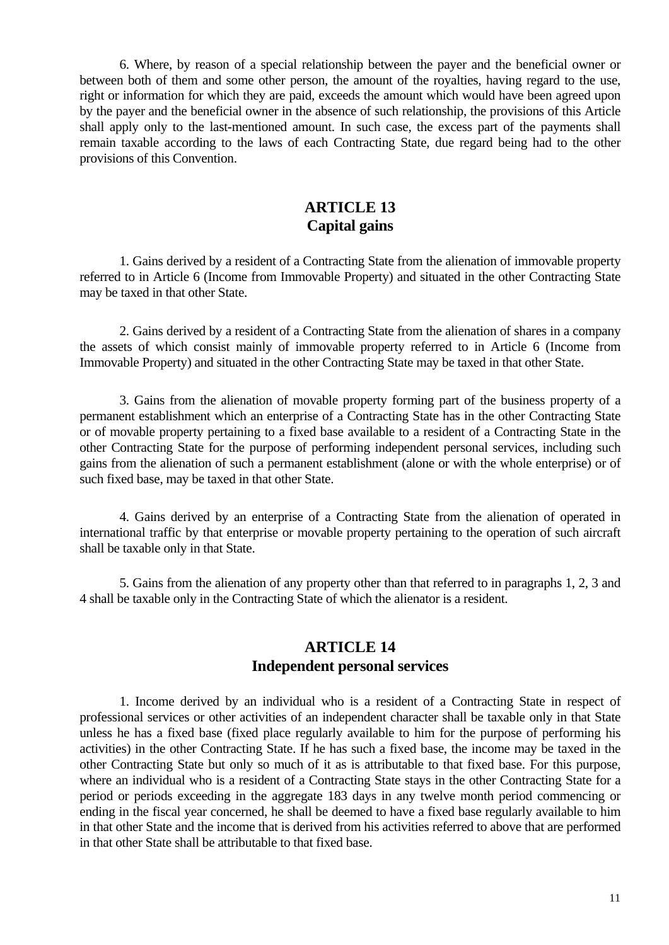6. Where, by reason of a special relationship between the payer and the beneficial owner or between both of them and some other person, the amount of the royalties, having regard to the use, right or information for which they are paid, exceeds the amount which would have been agreed upon by the payer and the beneficial owner in the absence of such relationship, the provisions of this Article shall apply only to the last-mentioned amount. In such case, the excess part of the payments shall remain taxable according to the laws of each Contracting State, due regard being had to the other provisions of this Convention.

### **ARTICLE 13 Capital gains**

1. Gains derived by a resident of a Contracting State from the alienation of immovable property referred to in Article 6 (Income from Immovable Property) and situated in the other Contracting State may be taxed in that other State.

2. Gains derived by a resident of a Contracting State from the alienation of shares in a company the assets of which consist mainly of immovable property referred to in Article 6 (Income from Immovable Property) and situated in the other Contracting State may be taxed in that other State.

3. Gains from the alienation of movable property forming part of the business property of a permanent establishment which an enterprise of a Contracting State has in the other Contracting State or of movable property pertaining to a fixed base available to a resident of a Contracting State in the other Contracting State for the purpose of performing independent personal services, including such gains from the alienation of such a permanent establishment (alone or with the whole enterprise) or of such fixed base, may be taxed in that other State.

4. Gains derived by an enterprise of a Contracting State from the alienation of operated in international traffic by that enterprise or movable property pertaining to the operation of such aircraft shall be taxable only in that State.

5. Gains from the alienation of any property other than that referred to in paragraphs 1, 2, 3 and 4 shall be taxable only in the Contracting State of which the alienator is a resident.

#### **ARTICLE 14 Independent personal services**

1. Income derived by an individual who is a resident of a Contracting State in respect of professional services or other activities of an independent character shall be taxable only in that State unless he has a fixed base (fixed place regularly available to him for the purpose of performing his activities) in the other Contracting State. If he has such a fixed base, the income may be taxed in the other Contracting State but only so much of it as is attributable to that fixed base. For this purpose, where an individual who is a resident of a Contracting State stays in the other Contracting State for a period or periods exceeding in the aggregate 183 days in any twelve month period commencing or ending in the fiscal year concerned, he shall be deemed to have a fixed base regularly available to him in that other State and the income that is derived from his activities referred to above that are performed in that other State shall be attributable to that fixed base.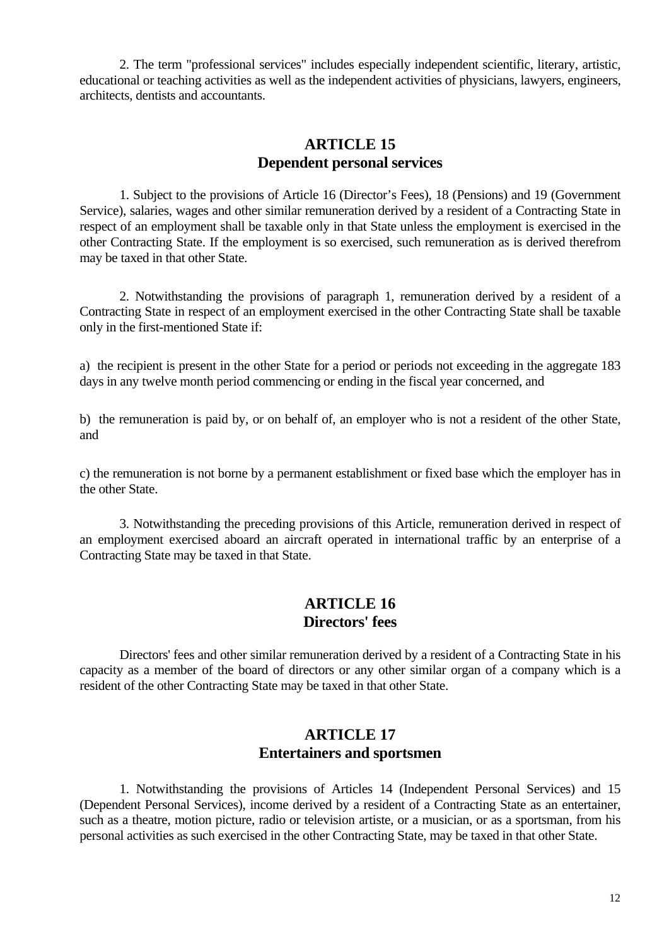2. The term "professional services" includes especially independent scientific, literary, artistic, educational or teaching activities as well as the independent activities of physicians, lawyers, engineers, architects, dentists and accountants.

#### **ARTICLE 15 Dependent personal services**

1. Subject to the provisions of Article 16 (Director's Fees), 18 (Pensions) and 19 (Government Service), salaries, wages and other similar remuneration derived by a resident of a Contracting State in respect of an employment shall be taxable only in that State unless the employment is exercised in the other Contracting State. If the employment is so exercised, such remuneration as is derived therefrom may be taxed in that other State.

2. Notwithstanding the provisions of paragraph 1, remuneration derived by a resident of a Contracting State in respect of an employment exercised in the other Contracting State shall be taxable only in the first-mentioned State if:

a) the recipient is present in the other State for a period or periods not exceeding in the aggregate 183 days in any twelve month period commencing or ending in the fiscal year concerned, and

b) the remuneration is paid by, or on behalf of, an employer who is not a resident of the other State, and

c) the remuneration is not borne by a permanent establishment or fixed base which the employer has in the other State.

3. Notwithstanding the preceding provisions of this Article, remuneration derived in respect of an employment exercised aboard an aircraft operated in international traffic by an enterprise of a Contracting State may be taxed in that State.

#### **ARTICLE 16 Directors' fees**

Directors' fees and other similar remuneration derived by a resident of a Contracting State in his capacity as a member of the board of directors or any other similar organ of a company which is a resident of the other Contracting State may be taxed in that other State.

#### **ARTICLE 17 Entertainers and sportsmen**

1. Notwithstanding the provisions of Articles 14 (Independent Personal Services) and 15 (Dependent Personal Services), income derived by a resident of a Contracting State as an entertainer, such as a theatre, motion picture, radio or television artiste, or a musician, or as a sportsman, from his personal activities as such exercised in the other Contracting State, may be taxed in that other State.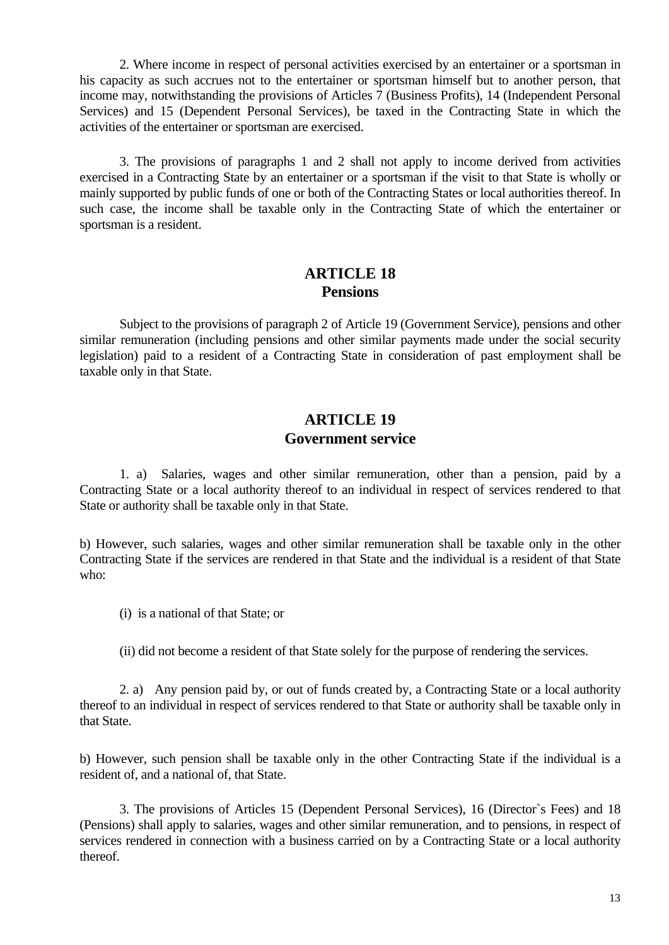2. Where income in respect of personal activities exercised by an entertainer or a sportsman in his capacity as such accrues not to the entertainer or sportsman himself but to another person, that income may, notwithstanding the provisions of Articles 7 (Business Profits), 14 (Independent Personal Services) and 15 (Dependent Personal Services), be taxed in the Contracting State in which the activities of the entertainer or sportsman are exercised.

3. The provisions of paragraphs 1 and 2 shall not apply to income derived from activities exercised in a Contracting State by an entertainer or a sportsman if the visit to that State is wholly or mainly supported by public funds of one or both of the Contracting States or local authorities thereof. In such case, the income shall be taxable only in the Contracting State of which the entertainer or sportsman is a resident.

#### **ARTICLE 18 Pensions**

Subject to the provisions of paragraph 2 of Article 19 (Government Service), pensions and other similar remuneration (including pensions and other similar payments made under the social security legislation) paid to a resident of a Contracting State in consideration of past employment shall be taxable only in that State.

#### **ARTICLE 19 Government service**

1. a) Salaries, wages and other similar remuneration, other than a pension, paid by a Contracting State or a local authority thereof to an individual in respect of services rendered to that State or authority shall be taxable only in that State.

b) However, such salaries, wages and other similar remuneration shall be taxable only in the other Contracting State if the services are rendered in that State and the individual is a resident of that State who:

(i) is a national of that State; or

(ii) did not become a resident of that State solely for the purpose of rendering the services.

2. a) Any pension paid by, or out of funds created by, a Contracting State or a local authority thereof to an individual in respect of services rendered to that State or authority shall be taxable only in that State.

b) However, such pension shall be taxable only in the other Contracting State if the individual is a resident of, and a national of, that State.

3. The provisions of Articles 15 (Dependent Personal Services), 16 (Director`s Fees) and 18 (Pensions) shall apply to salaries, wages and other similar remuneration, and to pensions, in respect of services rendered in connection with a business carried on by a Contracting State or a local authority thereof.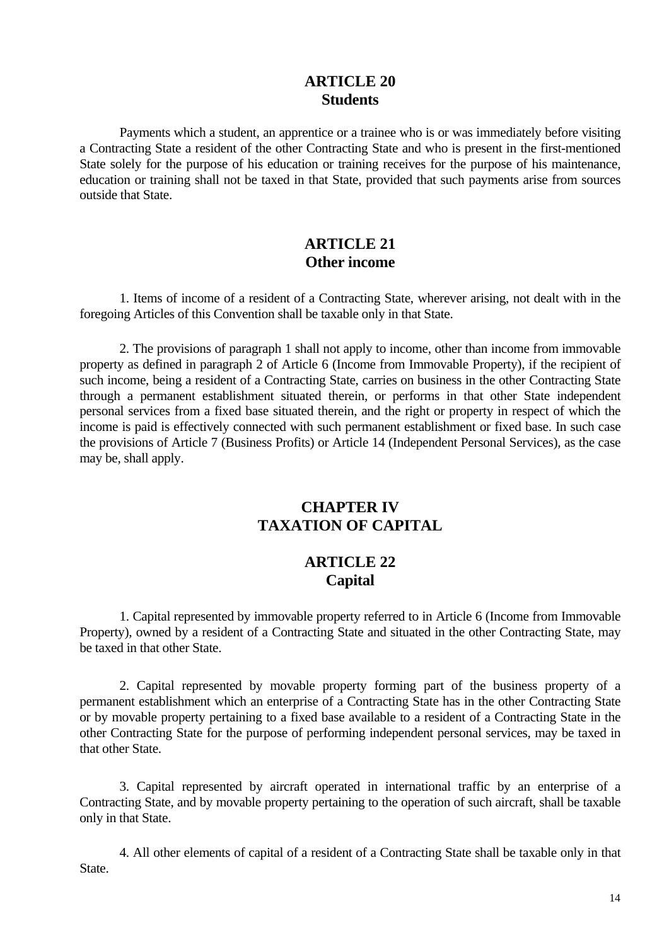#### **ARTICLE 20 Students**

Payments which a student, an apprentice or a trainee who is or was immediately before visiting a Contracting State a resident of the other Contracting State and who is present in the first-mentioned State solely for the purpose of his education or training receives for the purpose of his maintenance, education or training shall not be taxed in that State, provided that such payments arise from sources outside that State.

# **ARTICLE 21 Other income**

1. Items of income of a resident of a Contracting State, wherever arising, not dealt with in the foregoing Articles of this Convention shall be taxable only in that State.

2. The provisions of paragraph 1 shall not apply to income, other than income from immovable property as defined in paragraph 2 of Article 6 (Income from Immovable Property), if the recipient of such income, being a resident of a Contracting State, carries on business in the other Contracting State through a permanent establishment situated therein, or performs in that other State independent personal services from a fixed base situated therein, and the right or property in respect of which the income is paid is effectively connected with such permanent establishment or fixed base. In such case the provisions of Article 7 (Business Profits) or Article 14 (Independent Personal Services), as the case may be, shall apply.

### **CHAPTER IV TAXATION OF CAPITAL**

### **ARTICLE 22 Capital**

1. Capital represented by immovable property referred to in Article 6 (Income from Immovable Property), owned by a resident of a Contracting State and situated in the other Contracting State, may be taxed in that other State.

2. Capital represented by movable property forming part of the business property of a permanent establishment which an enterprise of a Contracting State has in the other Contracting State or by movable property pertaining to a fixed base available to a resident of a Contracting State in the other Contracting State for the purpose of performing independent personal services, may be taxed in that other State.

3. Capital represented by aircraft operated in international traffic by an enterprise of a Contracting State, and by movable property pertaining to the operation of such aircraft, shall be taxable only in that State.

4. All other elements of capital of a resident of a Contracting State shall be taxable only in that State.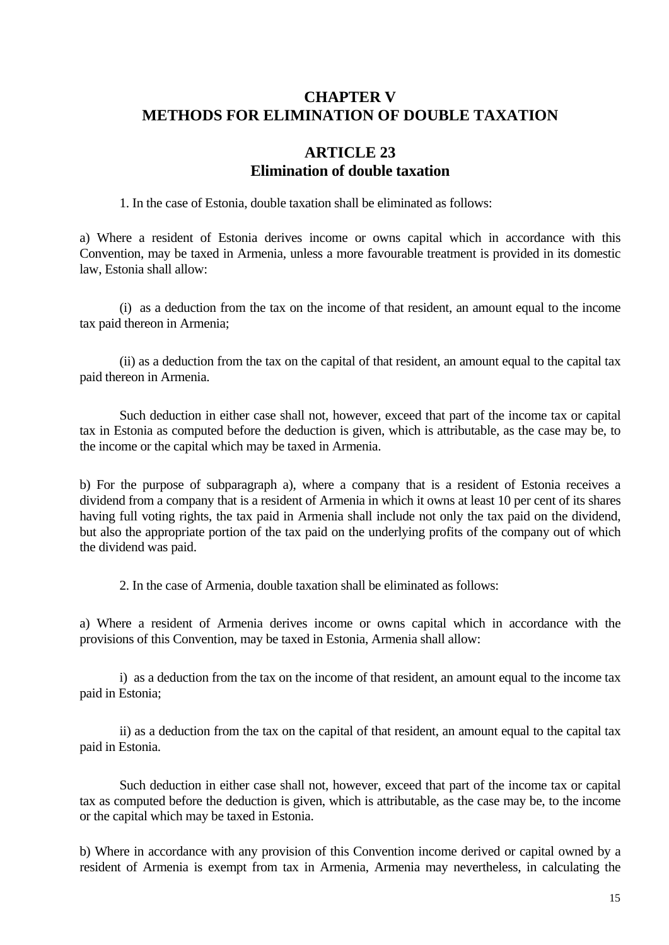# **CHAPTER V METHODS FOR ELIMINATION OF DOUBLE TAXATION**

# **ARTICLE 23 Elimination of double taxation**

1. In the case of Estonia, double taxation shall be eliminated as follows:

a) Where a resident of Estonia derives income or owns capital which in accordance with this Convention, may be taxed in Armenia, unless a more favourable treatment is provided in its domestic law, Estonia shall allow:

(i) as a deduction from the tax on the income of that resident, an amount equal to the income tax paid thereon in Armenia;

(ii) as a deduction from the tax on the capital of that resident, an amount equal to the capital tax paid thereon in Armenia.

Such deduction in either case shall not, however, exceed that part of the income tax or capital tax in Estonia as computed before the deduction is given, which is attributable, as the case may be, to the income or the capital which may be taxed in Armenia.

b) For the purpose of subparagraph a), where a company that is a resident of Estonia receives a dividend from a company that is a resident of Armenia in which it owns at least 10 per cent of its shares having full voting rights, the tax paid in Armenia shall include not only the tax paid on the dividend, but also the appropriate portion of the tax paid on the underlying profits of the company out of which the dividend was paid.

2. In the case of Armenia, double taxation shall be eliminated as follows:

a) Where a resident of Armenia derives income or owns capital which in accordance with the provisions of this Convention, may be taxed in Estonia, Armenia shall allow:

i) as a deduction from the tax on the income of that resident, an amount equal to the income tax paid in Estonia;

ii) as a deduction from the tax on the capital of that resident, an amount equal to the capital tax paid in Estonia.

Such deduction in either case shall not, however, exceed that part of the income tax or capital tax as computed before the deduction is given, which is attributable, as the case may be, to the income or the capital which may be taxed in Estonia.

b) Where in accordance with any provision of this Convention income derived or capital owned by a resident of Armenia is exempt from tax in Armenia, Armenia may nevertheless, in calculating the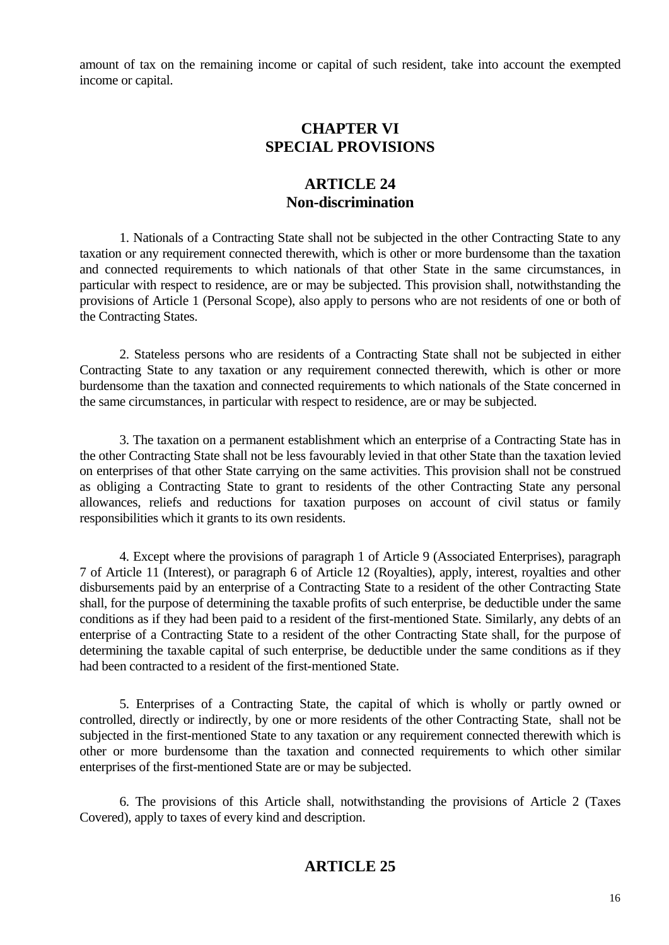amount of tax on the remaining income or capital of such resident, take into account the exempted income or capital.

#### **CHAPTER VI SPECIAL PROVISIONS**

#### **ARTICLE 24 Non-discrimination**

1. Nationals of a Contracting State shall not be subjected in the other Contracting State to any taxation or any requirement connected therewith, which is other or more burdensome than the taxation and connected requirements to which nationals of that other State in the same circumstances, in particular with respect to residence, are or may be subjected. This provision shall, notwithstanding the provisions of Article 1 (Personal Scope), also apply to persons who are not residents of one or both of the Contracting States.

2. Stateless persons who are residents of a Contracting State shall not be subjected in either Contracting State to any taxation or any requirement connected therewith, which is other or more burdensome than the taxation and connected requirements to which nationals of the State concerned in the same circumstances, in particular with respect to residence, are or may be subjected.

3. The taxation on a permanent establishment which an enterprise of a Contracting State has in the other Contracting State shall not be less favourably levied in that other State than the taxation levied on enterprises of that other State carrying on the same activities. This provision shall not be construed as obliging a Contracting State to grant to residents of the other Contracting State any personal allowances, reliefs and reductions for taxation purposes on account of civil status or family responsibilities which it grants to its own residents.

4. Except where the provisions of paragraph 1 of Article 9 (Associated Enterprises), paragraph 7 of Article 11 (Interest), or paragraph 6 of Article 12 (Royalties), apply, interest, royalties and other disbursements paid by an enterprise of a Contracting State to a resident of the other Contracting State shall, for the purpose of determining the taxable profits of such enterprise, be deductible under the same conditions as if they had been paid to a resident of the first-mentioned State. Similarly, any debts of an enterprise of a Contracting State to a resident of the other Contracting State shall, for the purpose of determining the taxable capital of such enterprise, be deductible under the same conditions as if they had been contracted to a resident of the first-mentioned State.

5. Enterprises of a Contracting State, the capital of which is wholly or partly owned or controlled, directly or indirectly, by one or more residents of the other Contracting State, shall not be subjected in the first-mentioned State to any taxation or any requirement connected therewith which is other or more burdensome than the taxation and connected requirements to which other similar enterprises of the first-mentioned State are or may be subjected.

6. The provisions of this Article shall, notwithstanding the provisions of Article 2 (Taxes Covered), apply to taxes of every kind and description.

### **ARTICLE 25**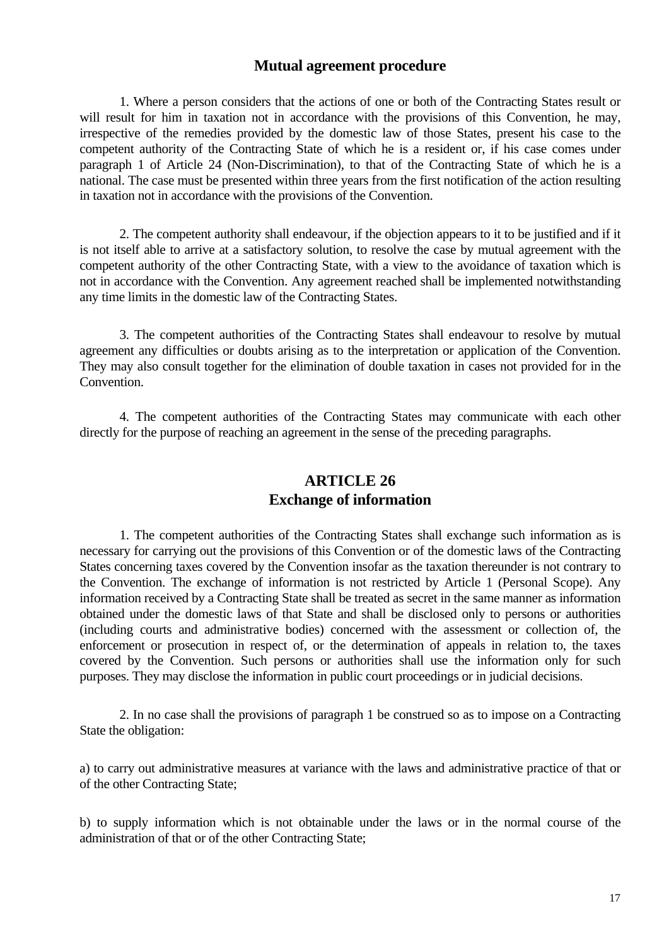#### **Mutual agreement procedure**

1. Where a person considers that the actions of one or both of the Contracting States result or will result for him in taxation not in accordance with the provisions of this Convention, he may, irrespective of the remedies provided by the domestic law of those States, present his case to the competent authority of the Contracting State of which he is a resident or, if his case comes under paragraph 1 of Article 24 (Non-Discrimination), to that of the Contracting State of which he is a national. The case must be presented within three years from the first notification of the action resulting in taxation not in accordance with the provisions of the Convention.

2. The competent authority shall endeavour, if the objection appears to it to be justified and if it is not itself able to arrive at a satisfactory solution, to resolve the case by mutual agreement with the competent authority of the other Contracting State, with a view to the avoidance of taxation which is not in accordance with the Convention. Any agreement reached shall be implemented notwithstanding any time limits in the domestic law of the Contracting States.

3. The competent authorities of the Contracting States shall endeavour to resolve by mutual agreement any difficulties or doubts arising as to the interpretation or application of the Convention. They may also consult together for the elimination of double taxation in cases not provided for in the Convention.

4. The competent authorities of the Contracting States may communicate with each other directly for the purpose of reaching an agreement in the sense of the preceding paragraphs.

#### **ARTICLE 26 Exchange of information**

1. The competent authorities of the Contracting States shall exchange such information as is necessary for carrying out the provisions of this Convention or of the domestic laws of the Contracting States concerning taxes covered by the Convention insofar as the taxation thereunder is not contrary to the Convention. The exchange of information is not restricted by Article 1 (Personal Scope). Any information received by a Contracting State shall be treated as secret in the same manner as information obtained under the domestic laws of that State and shall be disclosed only to persons or authorities (including courts and administrative bodies) concerned with the assessment or collection of, the enforcement or prosecution in respect of, or the determination of appeals in relation to, the taxes covered by the Convention. Such persons or authorities shall use the information only for such purposes. They may disclose the information in public court proceedings or in judicial decisions.

2. In no case shall the provisions of paragraph 1 be construed so as to impose on a Contracting State the obligation:

a) to carry out administrative measures at variance with the laws and administrative practice of that or of the other Contracting State;

b) to supply information which is not obtainable under the laws or in the normal course of the administration of that or of the other Contracting State;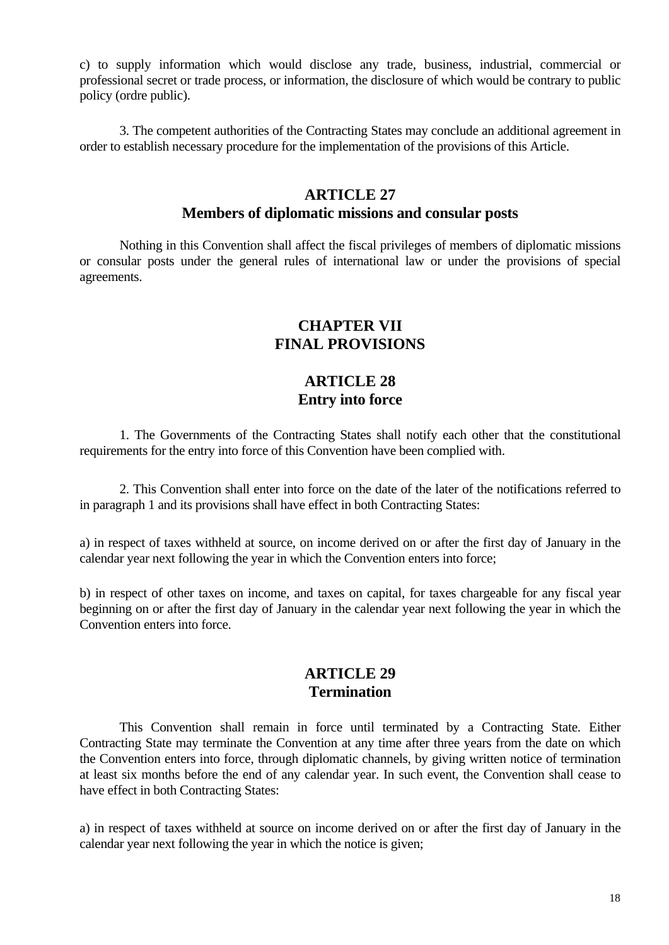c) to supply information which would disclose any trade, business, industrial, commercial or professional secret or trade process, or information, the disclosure of which would be contrary to public policy (ordre public).

3. The competent authorities of the Contracting States may conclude an additional agreement in order to establish necessary procedure for the implementation of the provisions of this Article.

#### **ARTICLE 27 Members of diplomatic missions and consular posts**

Nothing in this Convention shall affect the fiscal privileges of members of diplomatic missions or consular posts under the general rules of international law or under the provisions of special agreements.

#### **CHAPTER VII FINAL PROVISIONS**

#### **ARTICLE 28 Entry into force**

1. The Governments of the Contracting States shall notify each other that the constitutional requirements for the entry into force of this Convention have been complied with.

2. This Convention shall enter into force on the date of the later of the notifications referred to in paragraph 1 and its provisions shall have effect in both Contracting States:

a) in respect of taxes withheld at source, on income derived on or after the first day of January in the calendar year next following the year in which the Convention enters into force;

b) in respect of other taxes on income, and taxes on capital, for taxes chargeable for any fiscal year beginning on or after the first day of January in the calendar year next following the year in which the Convention enters into force.

#### **ARTICLE 29 Termination**

This Convention shall remain in force until terminated by a Contracting State. Either Contracting State may terminate the Convention at any time after three years from the date on which the Convention enters into force, through diplomatic channels, by giving written notice of termination at least six months before the end of any calendar year. In such event, the Convention shall cease to have effect in both Contracting States:

a) in respect of taxes withheld at source on income derived on or after the first day of January in the calendar year next following the year in which the notice is given;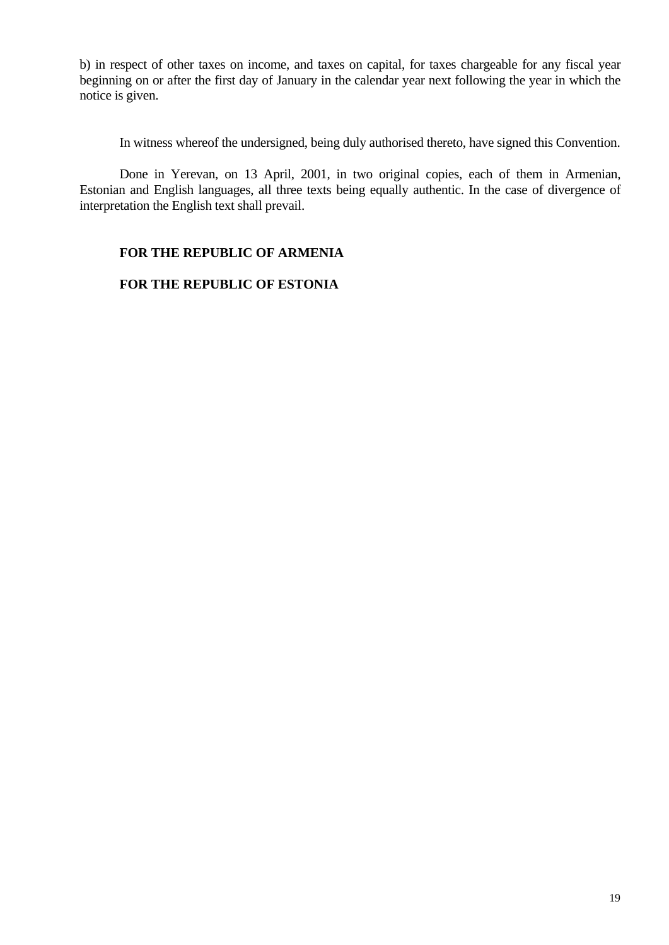b) in respect of other taxes on income, and taxes on capital, for taxes chargeable for any fiscal year beginning on or after the first day of January in the calendar year next following the year in which the notice is given.

In witness whereof the undersigned, being duly authorised thereto, have signed this Convention.

Done in Yerevan, on 13 April, 2001, in two original copies, each of them in Armenian, Estonian and English languages, all three texts being equally authentic. In the case of divergence of interpretation the English text shall prevail.

#### **FOR THE REPUBLIC OF ARMENIA**

#### **FOR THE REPUBLIC OF ESTONIA**